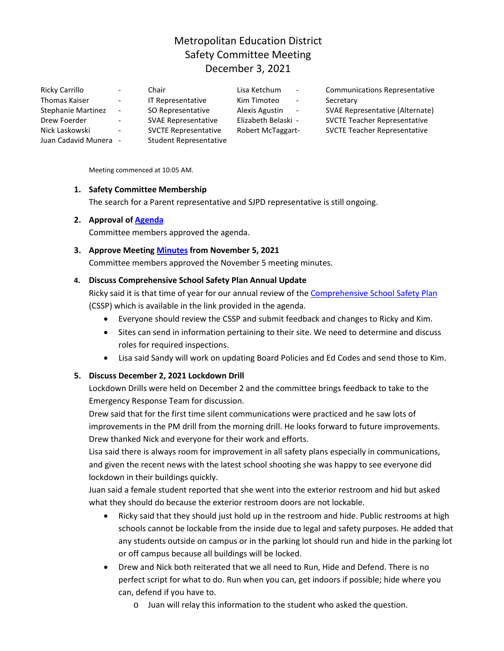# Metropolitan Education District Safety Committee Meeting December 3, 2021

| Ricky Carrillo            | $\blacksquare$           | Chair                         | Lisa Ketchum<br>$\overline{\phantom{a}}$ | <b>Communications Representative</b> |
|---------------------------|--------------------------|-------------------------------|------------------------------------------|--------------------------------------|
| Thomas Kaiser             | $\sim$                   | <b>IT Representative</b>      | Kim Timoteo<br>$\overline{\phantom{a}}$  | Secretary                            |
| <b>Stephanie Martinez</b> | $\overline{\phantom{a}}$ | SO Representative             | Alexis Agustin<br>$\sim$ $-$             | SVAE Representative (Alternate)      |
| Drew Foerder              | $\sim$                   | <b>SVAE Representative</b>    | Elizabeth Belaski -                      | <b>SVCTE Teacher Representative</b>  |
| Nick Laskowski            | $\overline{\phantom{a}}$ | <b>SVCTE Representative</b>   | <b>Robert McTaggart-</b>                 | <b>SVCTE Teacher Representative</b>  |
| Juan Cadavid Munera -     |                          | <b>Student Representative</b> |                                          |                                      |

Meeting commenced at 10:05 AM.

#### **1. Safety Committee Membership**

The search for a Parent representative and SJPD representative is still ongoing.

#### **2. Approval of [Agenda](https://drive.google.com/file/d/127WJiObn2LlX0ojMGiEy6XtZp30-ZMGZ/view?usp=sharing)**

Committee members approved the agenda.

#### **3. Approve Meeting [Minutes](https://drive.google.com/file/d/1xCpEV3ExUcXyhCcsQ7v8cK8ajis1U9tM/view?usp=sharing) from November 5, 2021**

Committee members approved the November 5 meeting minutes.

#### **4. Discuss Comprehensive School Safety Plan Annual Update**

Ricky said it is that time of year for our annual review of th[e Comprehensive School Safety Plan](https://www.metroed.net/cms/lib/CA50010807/Centricity/Domain/13/CSSP20192020.pdf) (CSSP) which is available in the link provided in the agenda.

- Everyone should review the CSSP and submit feedback and changes to Ricky and Kim.
- Sites can send in information pertaining to their site. We need to determine and discuss roles for required inspections.
- Lisa said Sandy will work on updating Board Policies and Ed Codes and send those to Kim.

#### **5. Discuss December 2, 2021 Lockdown Drill**

Lockdown Drills were held on December 2 and the committee brings feedback to take to the Emergency Response Team for discussion.

Drew said that for the first time silent communications were practiced and he saw lots of improvements in the PM drill from the morning drill. He looks forward to future improvements. Drew thanked Nick and everyone for their work and efforts.

Lisa said there is always room for improvement in all safety plans especially in communications, and given the recent news with the latest school shooting she was happy to see everyone did lockdown in their buildings quickly.

Juan said a female student reported that she went into the exterior restroom and hid but asked what they should do because the exterior restroom doors are not lockable.

- Ricky said that they should just hold up in the restroom and hide. Public restrooms at high schools cannot be lockable from the inside due to legal and safety purposes. He added that any students outside on campus or in the parking lot should run and hide in the parking lot or off campus because all buildings will be locked.
- Drew and Nick both reiterated that we all need to Run, Hide and Defend. There is no perfect script for what to do. Run when you can, get indoors if possible; hide where you can, defend if you have to.
	- o Juan will relay this information to the student who asked the question.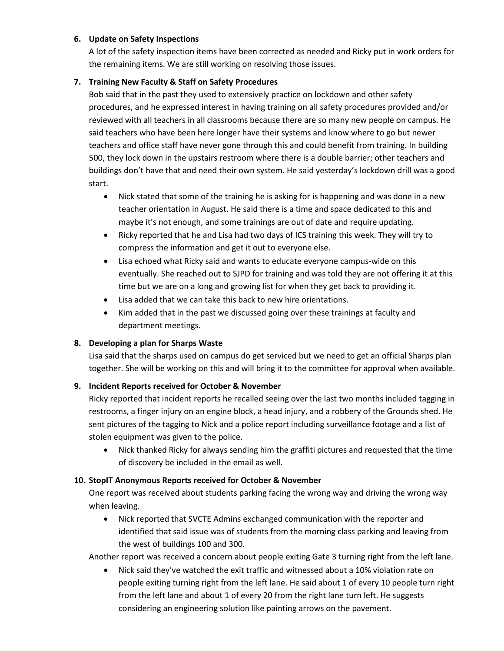#### **6. Update on Safety Inspections**

A lot of the safety inspection items have been corrected as needed and Ricky put in work orders for the remaining items. We are still working on resolving those issues.

#### **7. Training New Faculty & Staff on Safety Procedures**

Bob said that in the past they used to extensively practice on lockdown and other safety procedures, and he expressed interest in having training on all safety procedures provided and/or reviewed with all teachers in all classrooms because there are so many new people on campus. He said teachers who have been here longer have their systems and know where to go but newer teachers and office staff have never gone through this and could benefit from training. In building 500, they lock down in the upstairs restroom where there is a double barrier; other teachers and buildings don't have that and need their own system. He said yesterday's lockdown drill was a good start.

- Nick stated that some of the training he is asking for is happening and was done in a new teacher orientation in August. He said there is a time and space dedicated to this and maybe it's not enough, and some trainings are out of date and require updating.
- Ricky reported that he and Lisa had two days of ICS training this week. They will try to compress the information and get it out to everyone else.
- Lisa echoed what Ricky said and wants to educate everyone campus-wide on this eventually. She reached out to SJPD for training and was told they are not offering it at this time but we are on a long and growing list for when they get back to providing it.
- Lisa added that we can take this back to new hire orientations.
- Kim added that in the past we discussed going over these trainings at faculty and department meetings.

## **8. Developing a plan for Sharps Waste**

Lisa said that the sharps used on campus do get serviced but we need to get an official Sharps plan together. She will be working on this and will bring it to the committee for approval when available.

## **9. Incident Reports received for October & November**

Ricky reported that incident reports he recalled seeing over the last two months included tagging in restrooms, a finger injury on an engine block, a head injury, and a robbery of the Grounds shed. He sent pictures of the tagging to Nick and a police report including surveillance footage and a list of stolen equipment was given to the police.

• Nick thanked Ricky for always sending him the graffiti pictures and requested that the time of discovery be included in the email as well.

## **10. StopIT Anonymous Reports received for October & November**

One report was received about students parking facing the wrong way and driving the wrong way when leaving.

• Nick reported that SVCTE Admins exchanged communication with the reporter and identified that said issue was of students from the morning class parking and leaving from the west of buildings 100 and 300.

Another report was received a concern about people exiting Gate 3 turning right from the left lane.

• Nick said they've watched the exit traffic and witnessed about a 10% violation rate on people exiting turning right from the left lane. He said about 1 of every 10 people turn right from the left lane and about 1 of every 20 from the right lane turn left. He suggests considering an engineering solution like painting arrows on the pavement.